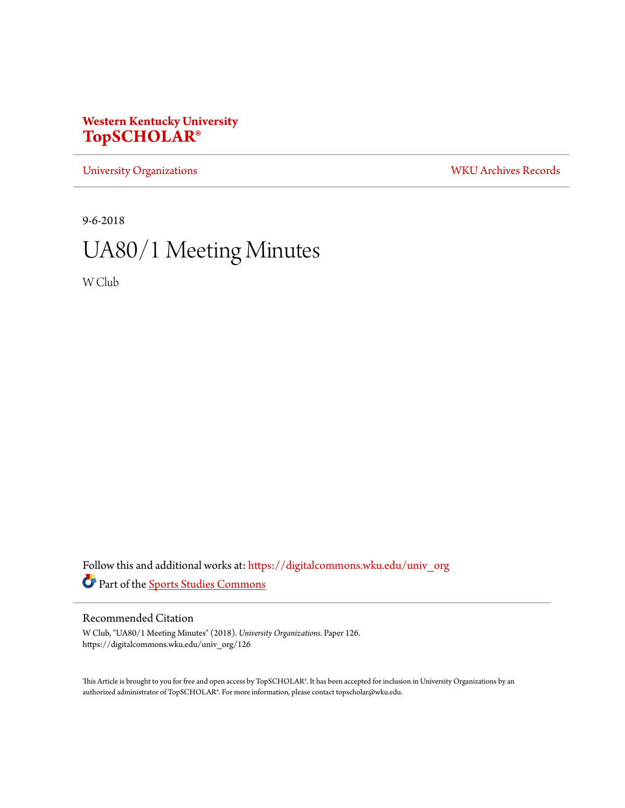## **Western Kentucky University [TopSCHOLAR®](https://digitalcommons.wku.edu?utm_source=digitalcommons.wku.edu%2Funiv_org%2F126&utm_medium=PDF&utm_campaign=PDFCoverPages)**

[University Organizations](https://digitalcommons.wku.edu/univ_org?utm_source=digitalcommons.wku.edu%2Funiv_org%2F126&utm_medium=PDF&utm_campaign=PDFCoverPages) [WKU Archives Records](https://digitalcommons.wku.edu/dlsc_ua_records?utm_source=digitalcommons.wku.edu%2Funiv_org%2F126&utm_medium=PDF&utm_campaign=PDFCoverPages)

9-6-2018

# UA80/1 Meeting Minutes

W Club

Follow this and additional works at: [https://digitalcommons.wku.edu/univ\\_org](https://digitalcommons.wku.edu/univ_org?utm_source=digitalcommons.wku.edu%2Funiv_org%2F126&utm_medium=PDF&utm_campaign=PDFCoverPages) Part of the [Sports Studies Commons](http://network.bepress.com/hgg/discipline/1198?utm_source=digitalcommons.wku.edu%2Funiv_org%2F126&utm_medium=PDF&utm_campaign=PDFCoverPages)

### Recommended Citation

W Club, "UA80/1 Meeting Minutes" (2018). *University Organizations.* Paper 126. https://digitalcommons.wku.edu/univ\_org/126

This Article is brought to you for free and open access by TopSCHOLAR®. It has been accepted for inclusion in University Organizations by an authorized administrator of TopSCHOLAR®. For more information, please contact topscholar@wku.edu.